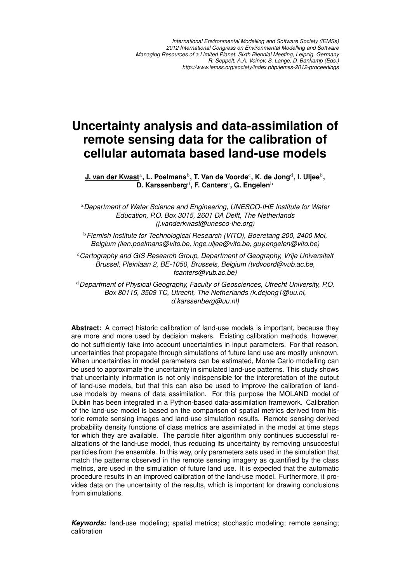# **Uncertainty analysis and data-assimilation of remote sensing data for the calibration of cellular automata based land-use models**

 $\,$ <mark>J. van der Kwast<code>a</code>, L. Poelmans<code>b</code>, T. Van de Voorde<code>c</code>, K. de Jong<code>d</code>, I. Uljee<code>b</code>,</mark> **D. Karssenberg<sup>d</sup>, F. Canters<sup>c</sup>, G. Engelen<sup>b</sup>** 

<sup>a</sup>*Department of Water Science and Engineering, UNESCO-IHE Institute for Water Education, P.O. Box 3015, 2601 DA Delft, The Netherlands (j.vanderkwast@unesco-ihe.org)*

<sup>b</sup>*Flemish Institute for Technological Research (VITO), Boeretang 200, 2400 Mol, Belgium (lien.poelmans@vito.be, inge.uljee@vito.be, guy.engelen@vito.be)*

<sup>c</sup>*Cartography and GIS Research Group, Department of Geography, Vrije Universiteit Brussel, Pleinlaan 2, BE-1050, Brussels, Belgium (tvdvoord@vub.ac.be, fcanters@vub.ac.be)*

<sup>d</sup>*Department of Physical Geography, Faculty of Geosciences, Utrecht University, P.O. Box 80115, 3508 TC, Utrecht, The Netherlands (k.dejong1@uu.nl, d.karssenberg@uu.nl)*

**Abstract:** A correct historic calibration of land-use models is important, because they are more and more used by decision makers. Existing calibration methods, however, do not sufficiently take into account uncertainties in input parameters. For that reason, uncertainties that propagate through simulations of future land use are mostly unknown. When uncertainties in model parameters can be estimated, Monte Carlo modelling can be used to approximate the uncertainty in simulated land-use patterns. This study shows that uncertainty information is not only indispensible for the interpretation of the output of land-use models, but that this can also be used to improve the calibration of landuse models by means of data assimilation. For this purpose the MOLAND model of Dublin has been integrated in a Python-based data-assimilation framework. Calibration of the land-use model is based on the comparison of spatial metrics derived from historic remote sensing images and land-use simulation results. Remote sensing derived probability density functions of class metrics are assimilated in the model at time steps for which they are available. The particle filter algorithm only continues successful realizations of the land-use model, thus reducing its uncertainty by removing unsuccesful particles from the ensemble. In this way, only parameters sets used in the simulation that match the patterns observed in the remote sensing imagery as quantified by the class metrics, are used in the simulation of future land use. It is expected that the automatic procedure results in an improved calibration of the land-use model. Furthermore, it provides data on the uncertainty of the results, which is important for drawing conclusions from simulations.

*Keywords:* land-use modeling; spatial metrics; stochastic modeling; remote sensing; calibration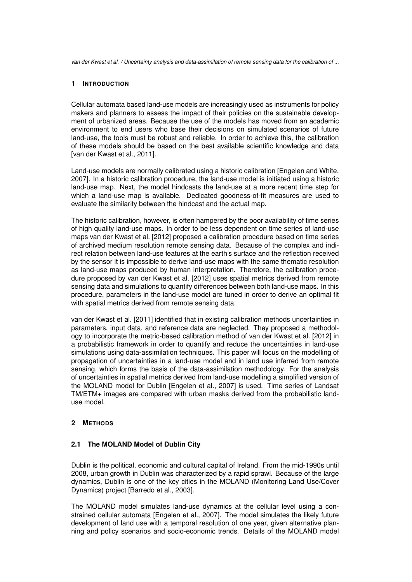## **1 INTRODUCTION**

Cellular automata based land-use models are increasingly used as instruments for policy makers and planners to assess the impact of their policies on the sustainable development of urbanized areas. Because the use of the models has moved from an academic environment to end users who base their decisions on simulated scenarios of future land-use, the tools must be robust and reliable. In order to achieve this, the calibration of these models should be based on the best available scientific knowledge and data [van der Kwast et al., 2011].

Land-use models are normally calibrated using a historic calibration [Engelen and White, 2007]. In a historic calibration procedure, the land-use model is initiated using a historic land-use map. Next, the model hindcasts the land-use at a more recent time step for which a land-use map is available. Dedicated goodness-of-fit measures are used to evaluate the similarity between the hindcast and the actual map.

The historic calibration, however, is often hampered by the poor availability of time series of high quality land-use maps. In order to be less dependent on time series of land-use maps van der Kwast et al. [2012] proposed a calibration procedure based on time series of archived medium resolution remote sensing data. Because of the complex and indirect relation between land-use features at the earth's surface and the reflection received by the sensor it is impossible to derive land-use maps with the same thematic resolution as land-use maps produced by human interpretation. Therefore, the calibration procedure proposed by van der Kwast et al. [2012] uses spatial metrics derived from remote sensing data and simulations to quantify differences between both land-use maps. In this procedure, parameters in the land-use model are tuned in order to derive an optimal fit with spatial metrics derived from remote sensing data.

van der Kwast et al. [2011] identified that in existing calibration methods uncertainties in parameters, input data, and reference data are neglected. They proposed a methodology to incorporate the metric-based calibration method of van der Kwast et al. [2012] in a probabilistic framework in order to quantify and reduce the uncertainties in land-use simulations using data-assimilation techniques. This paper will focus on the modelling of propagation of uncertainties in a land-use model and in land use inferred from remote sensing, which forms the basis of the data-assimilation methodology. For the analysis of uncertainties in spatial metrics derived from land-use modelling a simplified version of the MOLAND model for Dublin [Engelen et al., 2007] is used. Time series of Landsat TM/ETM+ images are compared with urban masks derived from the probabilistic landuse model.

# **2 METHODS**

# **2.1 The MOLAND Model of Dublin City**

Dublin is the political, economic and cultural capital of Ireland. From the mid-1990s until 2008, urban growth in Dublin was characterized by a rapid sprawl. Because of the large dynamics, Dublin is one of the key cities in the MOLAND (Monitoring Land Use/Cover Dynamics) project [Barredo et al., 2003].

The MOLAND model simulates land-use dynamics at the cellular level using a constrained cellular automata [Engelen et al., 2007]. The model simulates the likely future development of land use with a temporal resolution of one year, given alternative planning and policy scenarios and socio-economic trends. Details of the MOLAND model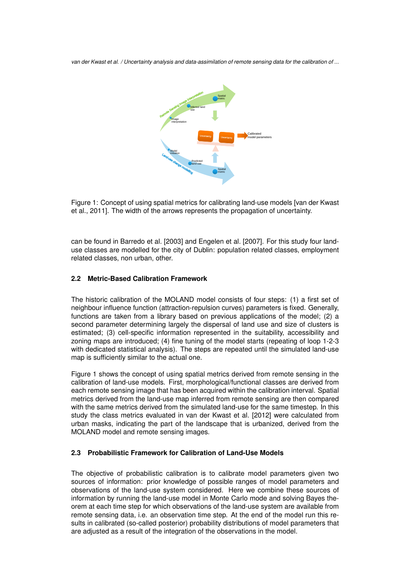

Figure 1: Concept of using spatial metrics for calibrating land-use models [van der Kwast et al., 2011]. The width of the arrows represents the propagation of uncertainty.

can be found in Barredo et al. [2003] and Engelen et al. [2007]. For this study four landuse classes are modelled for the city of Dublin: population related classes, employment related classes, non urban, other.

## **2.2 Metric-Based Calibration Framework**

The historic calibration of the MOLAND model consists of four steps: (1) a first set of neighbour influence function (attraction-repulsion curves) parameters is fixed. Generally, functions are taken from a library based on previous applications of the model; (2) a second parameter determining largely the dispersal of land use and size of clusters is estimated; (3) cell-specific information represented in the suitability, accessibility and zoning maps are introduced; (4) fine tuning of the model starts (repeating of loop 1-2-3 with dedicated statistical analysis). The steps are repeated until the simulated land-use map is sufficiently similar to the actual one.

Figure 1 shows the concept of using spatial metrics derived from remote sensing in the calibration of land-use models. First, morphological/functional classes are derived from each remote sensing image that has been acquired within the calibration interval. Spatial metrics derived from the land-use map inferred from remote sensing are then compared with the same metrics derived from the simulated land-use for the same timestep. In this study the class metrics evaluated in van der Kwast et al. [2012] were calculated from urban masks, indicating the part of the landscape that is urbanized, derived from the MOLAND model and remote sensing images.

### **2.3 Probabilistic Framework for Calibration of Land-Use Models**

The objective of probabilistic calibration is to calibrate model parameters given two sources of information: prior knowledge of possible ranges of model parameters and observations of the land-use system considered. Here we combine these sources of information by running the land-use model in Monte Carlo mode and solving Bayes theorem at each time step for which observations of the land-use system are available from remote sensing data, i.e. an observation time step. At the end of the model run this results in calibrated (so-called posterior) probability distributions of model parameters that are adjusted as a result of the integration of the observations in the model.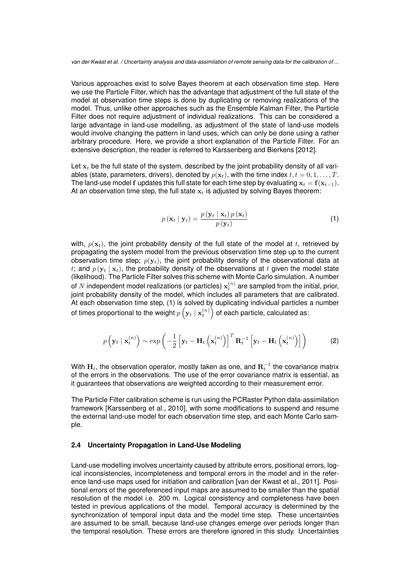Various approaches exist to solve Bayes theorem at each observation time step. Here we use the Particle Filter, which has the advantage that adjustment of the full state of the model at observation time steps is done by duplicating or removing realizations of the model. Thus, unlike other approaches such as the Ensemble Kalman Filter, the Particle Filter does not require adjustment of individual realizations. This can be considered a large advantage in land-use modelling, as adjustment of the state of land-use models would involve changing the pattern in land uses, which can only be done using a rather arbitrary procedure. Here, we provide a short explanation of the Particle Filter. For an extensive description, the reader is referred to Karssenberg and Bierkens [2012].

Let  $x_t$  be the full state of the system, described by the joint probability density of all variables (state, parameters, drivers), denoted by  $p(\mathbf{x}_t)$ , with the time index  $t, t = 0, 1, \ldots, T$ . The land-use model f updates this full state for each time step by evaluating  $x_t = f(x_{t-1})$ . At an observation time step, the full state  $x_t$  is adjusted by solving Bayes theorem:

$$
p\left(\mathbf{x}_t \mid \mathbf{y}_t\right) = \frac{p\left(\mathbf{y}_t \mid \mathbf{x}_t\right) p\left(\mathbf{x}_t\right)}{p\left(\mathbf{y}_t\right)}\tag{1}
$$

with,  $p(\mathbf{x}_t)$ , the joint probability density of the full state of the model at t, retrieved by propagating the system model from the previous observation time step up to the current observation time step;  $p(\mathbf{y}_t)$ , the joint probability density of the observational data at t; and  $p(y_t | x_t)$ , the probability density of the observations at t given the model state (likelihood). The Particle Filter solves this scheme with Monte Carlo simulation. A number of  $N$  independent model realizations (or particles)  $\mathbf{x}_{t}^{(n)}$  are sampled from the initial, prior, joint probability density of the model, which includes all parameters that are calibrated. At each observation time step, (1) is solved by duplicating individual particles a number of times proportional to the weight  $p\left(\mathbf{y}_t\mid\mathbf{x}_t^{(n)}\right)$  of each particle, calculated as:

$$
p\left(\mathbf{y}_t \mid \mathbf{x}_t^{(n)}\right) \sim \exp\left(-\frac{1}{2}\left[\mathbf{y}_t - \mathbf{H}_t\left(\mathbf{x}_t^{(n)}\right)\right]^T \mathbf{R}_t^{-1} \left[\mathbf{y}_t - \mathbf{H}_t\left(\mathbf{x}_t^{(n)}\right)\right]\right) \tag{2}
$$

With  $\mathbf{H}_t$ , the observation operator, mostly taken as one, and  $\mathbf{R}_t^{-1}$  the covariance matrix of the errors in the observations. The use of the error covariance matrix is essential, as it guarantees that observations are weighted according to their measurement error.

The Particle Filter calibration scheme is run using the PCRaster Python data-assimilation framework [Karssenberg et al., 2010], with some modifications to suspend and resume the external land-use model for each observation time step, and each Monte Carlo sample.

#### **2.4 Uncertainty Propagation in Land-Use Modeling**

Land-use modelling involves uncertainty caused by attribute errors, positional errors, logical inconsistencies, incompleteness and temporal errors in the model and in the reference land-use maps used for initiation and calibration [van der Kwast et al., 2011]. Positional errors of the georeferenced input maps are assumed to be smaller than the spatial resolution of the model i.e. 200 m. Logical consistency and completeness have been tested in previous applications of the model. Temporal accuracy is determined by the synchronization of temporal input data and the model time step. These uncertainties are assumed to be small, because land-use changes emerge over periods longer than the temporal resolution. These errors are therefore ignored in this study. Uncertainties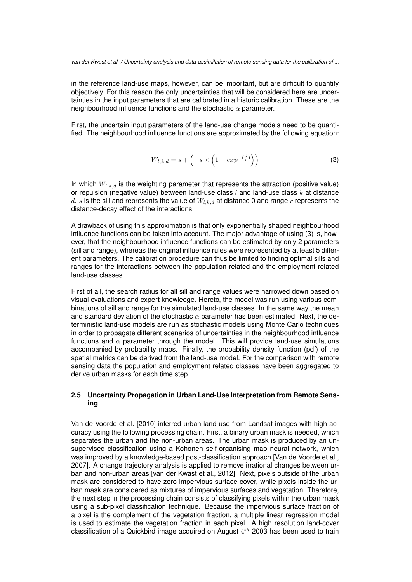in the reference land-use maps, however, can be important, but are difficult to quantify objectively. For this reason the only uncertainties that will be considered here are uncertainties in the input parameters that are calibrated in a historic calibration. These are the neighbourhood influence functions and the stochastic  $\alpha$  parameter.

First, the uncertain input parameters of the land-use change models need to be quantified. The neighbourhood influence functions are approximated by the following equation:

$$
W_{l,k,d} = s + \left( -s \times \left( 1 - exp^{-\left(\frac{d}{r}\right)} \right) \right) \tag{3}
$$

In which  $W_{l,k,d}$  is the weighting parameter that represents the attraction (positive value) or repulsion (negative value) between land-use class  $l$  and land-use class  $k$  at distance d. s is the sill and represents the value of  $W_{l,k,d}$  at distance 0 and range r represents the distance-decay effect of the interactions.

A drawback of using this approximation is that only exponentially shaped neighbourhood influence functions can be taken into account. The major advantage of using (3) is, however, that the neighbourhood influence functions can be estimated by only 2 parameters (sill and range), whereas the original influence rules were represented by at least 5 different parameters. The calibration procedure can thus be limited to finding optimal sills and ranges for the interactions between the population related and the employment related land-use classes.

First of all, the search radius for all sill and range values were narrowed down based on visual evaluations and expert knowledge. Hereto, the model was run using various combinations of sill and range for the simulated land-use classes. In the same way the mean and standard deviation of the stochastic  $\alpha$  parameter has been estimated. Next, the deterministic land-use models are run as stochastic models using Monte Carlo techniques in order to propagate different scenarios of uncertainties in the neighbourhood influence functions and  $\alpha$  parameter through the model. This will provide land-use simulations accompanied by probability maps. Finally, the probability density function (pdf) of the spatial metrics can be derived from the land-use model. For the comparison with remote sensing data the population and employment related classes have been aggregated to derive urban masks for each time step.

#### **2.5 Uncertainty Propagation in Urban Land-Use Interpretation from Remote Sensing**

Van de Voorde et al. [2010] inferred urban land-use from Landsat images with high accuracy using the following processing chain. First, a binary urban mask is needed, which separates the urban and the non-urban areas. The urban mask is produced by an unsupervised classification using a Kohonen self-organising map neural network, which was improved by a knowledge-based post-classification approach [Van de Voorde et al., 2007]. A change trajectory analysis is applied to remove irrational changes between urban and non-urban areas [van der Kwast et al., 2012]. Next, pixels outside of the urban mask are considered to have zero impervious surface cover, while pixels inside the urban mask are considered as mixtures of impervious surfaces and vegetation. Therefore, the next step in the processing chain consists of classifying pixels within the urban mask using a sub-pixel classification technique. Because the impervious surface fraction of a pixel is the complement of the vegetation fraction, a multiple linear regression model is used to estimate the vegetation fraction in each pixel. A high resolution land-cover classification of a Quickbird image acquired on August  $4^{th}$  2003 has been used to train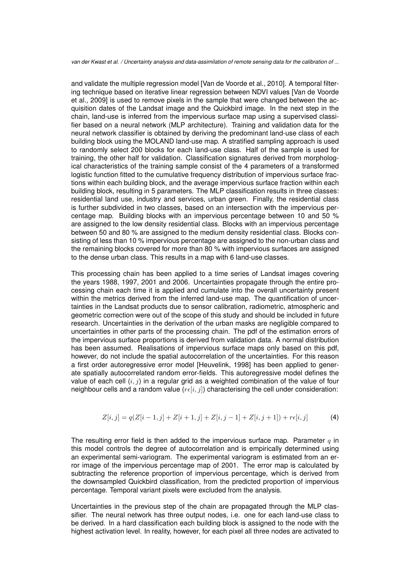and validate the multiple regression model [Van de Voorde et al., 2010]. A temporal filtering technique based on iterative linear regression between NDVI values [Van de Voorde et al., 2009] is used to remove pixels in the sample that were changed between the acquisition dates of the Landsat image and the Quickbird image. In the next step in the chain, land-use is inferred from the impervious surface map using a supervised classifier based on a neural network (MLP architecture). Training and validation data for the neural network classifier is obtained by deriving the predominant land-use class of each building block using the MOLAND land-use map. A stratified sampling approach is used to randomly select 200 blocks for each land-use class. Half of the sample is used for training, the other half for validation. Classification signatures derived from morphological characteristics of the training sample consist of the 4 parameters of a transformed logistic function fitted to the cumulative frequency distribution of impervious surface fractions within each building block, and the average impervious surface fraction within each building block, resulting in 5 parameters. The MLP classification results in three classes: residential land use, industry and services, urban green. Finally, the residential class is further subdivided in two classes, based on an intersection with the impervious percentage map. Building blocks with an impervious percentage between 10 and 50 % are assigned to the low density residential class. Blocks with an impervious percentage between 50 and 80 % are assigned to the medium density residential class. Blocks consisting of less than 10 % impervious percentage are assigned to the non-urban class and the remaining blocks covered for more than 80 % with impervious surfaces are assigned to the dense urban class. This results in a map with 6 land-use classes.

This processing chain has been applied to a time series of Landsat images covering the years 1988, 1997, 2001 and 2006. Uncertainties propagate through the entire processing chain each time it is applied and cumulate into the overall uncertainty present within the metrics derived from the inferred land-use map. The quantification of uncertainties in the Landsat products due to sensor calibration, radiometric, atmospheric and geometric correction were out of the scope of this study and should be included in future research. Uncertainties in the derivation of the urban masks are negligible compared to uncertainties in other parts of the processing chain. The pdf of the estimation errors of the impervious surface proportions is derived from validation data. A normal distribution has been assumed. Realisations of impervious surface maps only based on this pdf, however, do not include the spatial autocorrelation of the uncertainties. For this reason a first order autoregressive error model [Heuvelink, 1998] has been applied to generate spatially autocorrelated random error-fields. This autoregressive model defines the value of each cell  $(i, j)$  in a regular grid as a weighted combination of the value of four neighbour cells and a random value  $(r \epsilon[i, j])$  characterising the cell under consideration:

$$
Z[i,j] = q(Z[i-1,j] + Z[i+1,j] + Z[i,j-1] + Z[i,j+1]) + r\epsilon[i,j]
$$
\n(4)

The resulting error field is then added to the impervious surface map. Parameter  $q$  in this model controls the degree of autocorrelation and is empirically determined using an experimental semi-variogram. The experimental variogram is estimated from an error image of the impervious percentage map of 2001. The error map is calculated by subtracting the reference proportion of impervious percentage, which is derived from the downsampled Quickbird classification, from the predicted proportion of impervious percentage. Temporal variant pixels were excluded from the analysis.

Uncertainties in the previous step of the chain are propagated through the MLP classifier. The neural network has three output nodes, i.e. one for each land-use class to be derived. In a hard classification each building block is assigned to the node with the highest activation level. In reality, however, for each pixel all three nodes are activated to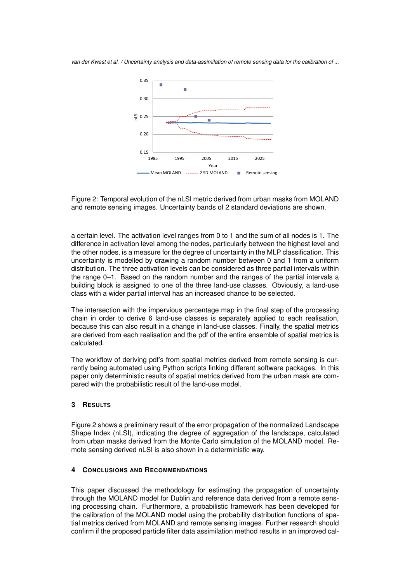



a certain level. The activation level ranges from 0 to 1 and the sum of all nodes is 1. The difference in activation level among the nodes, particularly between the highest level and the other nodes, is a measure for the degree of uncertainty in the MLP classification. This uncertainty is modelled by drawing a random number between 0 and 1 from a uniform distribution. The three activation levels can be considered as three partial intervals within the range 0–1. Based on the random number and the ranges of the partial intervals a building block is assigned to one of the three land-use classes. Obviously, a land-use class with a wider partial interval has an increased chance to be selected.

The intersection with the impervious percentage map in the final step of the processing chain in order to derive 6 land-use classes is separately applied to each realisation, because this can also result in a change in land-use classes. Finally, the spatial metrics are derived from each realisation and the pdf of the entire ensemble of spatial metrics is calculated.

The workflow of deriving pdf's from spatial metrics derived from remote sensing is currently being automated using Python scripts linking different software packages. In this paper only deterministic results of spatial metrics derived from the urban mask are compared with the probabilistic result of the land-use model.

# **3 RESULTS**

Figure 2 shows a preliminary result of the error propagation of the normalized Landscape Shape Index (nLSI), indicating the degree of aggregation of the landscape, calculated from urban masks derived from the Monte Carlo simulation of the MOLAND model. Remote sensing derived nLSI is also shown in a deterministic way.

#### **4 CONCLUSIONS AND RECOMMENDATIONS**

This paper discussed the methodology for estimating the propagation of uncertainty through the MOLAND model for Dublin and reference data derived from a remote sensing processing chain. Furthermore, a probabilistic framework has been developed for the calibration of the MOLAND model using the probability distribution functions of spatial metrics derived from MOLAND and remote sensing images. Further research should confirm if the proposed particle filter data assimilation method results in an improved cal-